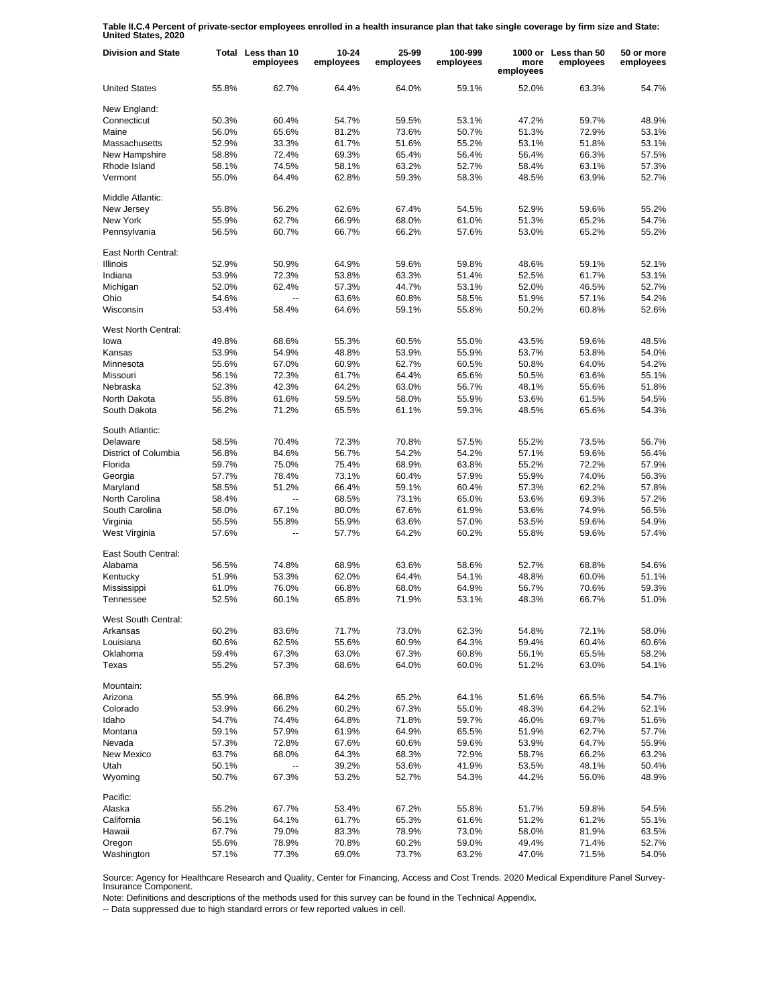**Table II.C.4 Percent of private-sector employees enrolled in a health insurance plan that take single coverage by firm size and State: United States, 2020**

| <b>Division and State</b> |       | Total Less than 10<br>employees | $10 - 24$<br>employees | 25-99<br>employees | 100-999<br>employees | more<br>employees | 1000 or Less than 50<br>employees | 50 or more<br>employees |
|---------------------------|-------|---------------------------------|------------------------|--------------------|----------------------|-------------------|-----------------------------------|-------------------------|
| <b>United States</b>      | 55.8% | 62.7%                           | 64.4%                  | 64.0%              | 59.1%                | 52.0%             | 63.3%                             | 54.7%                   |
| New England:              |       |                                 |                        |                    |                      |                   |                                   |                         |
| Connecticut               | 50.3% | 60.4%                           | 54.7%                  | 59.5%              | 53.1%                | 47.2%             | 59.7%                             | 48.9%                   |
| Maine                     | 56.0% | 65.6%                           | 81.2%                  | 73.6%              | 50.7%                | 51.3%             | 72.9%                             | 53.1%                   |
| Massachusetts             | 52.9% | 33.3%                           | 61.7%                  | 51.6%              | 55.2%                | 53.1%             | 51.8%                             | 53.1%                   |
| New Hampshire             | 58.8% | 72.4%                           | 69.3%                  | 65.4%              | 56.4%                | 56.4%             | 66.3%                             | 57.5%                   |
| Rhode Island              | 58.1% | 74.5%                           | 58.1%                  | 63.2%              | 52.7%                | 58.4%             | 63.1%                             | 57.3%                   |
| Vermont                   | 55.0% | 64.4%                           | 62.8%                  | 59.3%              | 58.3%                | 48.5%             | 63.9%                             | 52.7%                   |
| Middle Atlantic:          |       |                                 |                        |                    |                      |                   |                                   |                         |
| New Jersey                | 55.8% | 56.2%                           | 62.6%                  | 67.4%              | 54.5%                | 52.9%             | 59.6%                             | 55.2%                   |
| New York                  | 55.9% | 62.7%                           | 66.9%                  | 68.0%              | 61.0%                | 51.3%             | 65.2%                             | 54.7%                   |
| Pennsylvania              | 56.5% | 60.7%                           | 66.7%                  | 66.2%              | 57.6%                | 53.0%             | 65.2%                             | 55.2%                   |
| East North Central:       |       |                                 |                        |                    |                      |                   |                                   |                         |
| <b>Illinois</b>           | 52.9% | 50.9%                           | 64.9%                  | 59.6%              | 59.8%                | 48.6%             | 59.1%                             | 52.1%                   |
| Indiana                   | 53.9% | 72.3%                           | 53.8%                  | 63.3%              | 51.4%                | 52.5%             | 61.7%                             | 53.1%                   |
| Michigan                  | 52.0% | 62.4%                           | 57.3%                  | 44.7%              | 53.1%                | 52.0%             | 46.5%                             | 52.7%                   |
| Ohio                      | 54.6% | $\ddot{\phantom{a}}$            | 63.6%                  | 60.8%              | 58.5%                | 51.9%             | 57.1%                             | 54.2%                   |
| Wisconsin                 | 53.4% | 58.4%                           | 64.6%                  | 59.1%              | 55.8%                | 50.2%             | 60.8%                             | 52.6%                   |
|                           |       |                                 |                        |                    |                      |                   |                                   |                         |
| West North Central:       |       |                                 |                        |                    |                      |                   |                                   |                         |
| lowa                      | 49.8% | 68.6%                           | 55.3%                  | 60.5%              | 55.0%                | 43.5%             | 59.6%                             | 48.5%                   |
| Kansas                    | 53.9% | 54.9%                           | 48.8%                  | 53.9%              | 55.9%                | 53.7%             | 53.8%                             | 54.0%                   |
| Minnesota                 | 55.6% | 67.0%                           | 60.9%                  | 62.7%              | 60.5%                | 50.8%             | 64.0%                             | 54.2%                   |
| Missouri                  | 56.1% | 72.3%                           | 61.7%                  | 64.4%              | 65.6%                | 50.5%             | 63.6%                             | 55.1%                   |
| Nebraska                  | 52.3% | 42.3%                           | 64.2%                  | 63.0%              | 56.7%                | 48.1%             | 55.6%                             | 51.8%                   |
| North Dakota              | 55.8% | 61.6%                           | 59.5%                  | 58.0%              | 55.9%                | 53.6%             | 61.5%                             | 54.5%                   |
| South Dakota              | 56.2% | 71.2%                           | 65.5%                  | 61.1%              | 59.3%                | 48.5%             | 65.6%                             | 54.3%                   |
| South Atlantic:           |       |                                 |                        |                    |                      |                   |                                   |                         |
| Delaware                  | 58.5% | 70.4%                           | 72.3%                  | 70.8%              | 57.5%                | 55.2%             | 73.5%                             | 56.7%                   |
| District of Columbia      | 56.8% | 84.6%                           | 56.7%                  | 54.2%              | 54.2%                | 57.1%             | 59.6%                             | 56.4%                   |
| Florida                   | 59.7% | 75.0%                           | 75.4%                  | 68.9%              | 63.8%                | 55.2%             | 72.2%                             | 57.9%                   |
| Georgia                   | 57.7% | 78.4%                           | 73.1%                  | 60.4%              | 57.9%                | 55.9%             | 74.0%                             | 56.3%                   |
| Maryland                  | 58.5% | 51.2%                           | 66.4%                  | 59.1%              | 60.4%                | 57.3%             | 62.2%                             | 57.8%                   |
| North Carolina            | 58.4% | $\overline{a}$                  | 68.5%                  | 73.1%              | 65.0%                | 53.6%             | 69.3%                             | 57.2%                   |
|                           |       |                                 |                        |                    |                      |                   |                                   |                         |
| South Carolina            | 58.0% | 67.1%                           | 80.0%                  | 67.6%              | 61.9%                | 53.6%             | 74.9%                             | 56.5%                   |
| Virginia                  | 55.5% | 55.8%                           | 55.9%                  | 63.6%              | 57.0%                | 53.5%             | 59.6%                             | 54.9%                   |
| West Virginia             | 57.6% | $\overline{a}$                  | 57.7%                  | 64.2%              | 60.2%                | 55.8%             | 59.6%                             | 57.4%                   |
| East South Central:       |       |                                 |                        |                    |                      |                   |                                   |                         |
| Alabama                   | 56.5% | 74.8%                           | 68.9%                  | 63.6%              | 58.6%                | 52.7%             | 68.8%                             | 54.6%                   |
| Kentucky                  | 51.9% | 53.3%                           | 62.0%                  | 64.4%              | 54.1%                | 48.8%             | 60.0%                             | 51.1%                   |
| Mississippi               | 61.0% | 76.0%                           | 66.8%                  | 68.0%              | 64.9%                | 56.7%             | 70.6%                             | 59.3%                   |
| Tennessee                 | 52.5% | 60.1%                           | 65.8%                  | 71.9%              | 53.1%                | 48.3%             | 66.7%                             | 51.0%                   |
| West South Central:       |       |                                 |                        |                    |                      |                   |                                   |                         |
| Arkansas                  | 60.2% | 83.6%                           | 71.7%                  | 73.0%              | 62.3%                | 54.8%             | 72.1%                             | 58.0%                   |
| Louisiana                 | 60.6% | 62.5%                           | 55.6%                  | 60.9%              | 64.3%                | 59.4%             | 60.4%                             | 60.6%                   |
| Oklahoma                  | 59.4% | 67.3%                           | 63.0%                  | 67.3%              | 60.8%                | 56.1%             | 65.5%                             | 58.2%                   |
| Texas                     | 55.2% | 57.3%                           | 68.6%                  | 64.0%              | 60.0%                | 51.2%             | 63.0%                             | 54.1%                   |
| Mountain:                 |       |                                 |                        |                    |                      |                   |                                   |                         |
| Arizona                   | 55.9% | 66.8%                           | 64.2%                  | 65.2%              | 64.1%                | 51.6%             | 66.5%                             | 54.7%                   |
| Colorado                  | 53.9% | 66.2%                           | 60.2%                  | 67.3%              | 55.0%                | 48.3%             | 64.2%                             | 52.1%                   |
| Idaho                     | 54.7% | 74.4%                           | 64.8%                  | 71.8%              | 59.7%                | 46.0%             | 69.7%                             | 51.6%                   |
| Montana                   |       |                                 | 61.9%                  | 64.9%              | 65.5%                | 51.9%             | 62.7%                             | 57.7%                   |
| Nevada                    | 59.1% | 57.9%                           |                        |                    |                      |                   |                                   |                         |
|                           | 57.3% | 72.8%                           | 67.6%                  | 60.6%              | 59.6%                | 53.9%             | 64.7%                             | 55.9%                   |
| <b>New Mexico</b>         | 63.7% | 68.0%                           | 64.3%                  | 68.3%              | 72.9%                | 58.7%             | 66.2%                             | 63.2%                   |
| Utah                      | 50.1% |                                 | 39.2%                  | 53.6%              | 41.9%                | 53.5%             | 48.1%                             | 50.4%                   |
| Wyoming                   | 50.7% | 67.3%                           | 53.2%                  | 52.7%              | 54.3%                | 44.2%             | 56.0%                             | 48.9%                   |
| Pacific:                  |       |                                 |                        |                    |                      |                   |                                   |                         |
| Alaska                    | 55.2% | 67.7%                           | 53.4%                  | 67.2%              | 55.8%                | 51.7%             | 59.8%                             | 54.5%                   |
| California                | 56.1% | 64.1%                           | 61.7%                  | 65.3%              | 61.6%                | 51.2%             | 61.2%                             | 55.1%                   |
| Hawaii                    | 67.7% | 79.0%                           | 83.3%                  | 78.9%              | 73.0%                | 58.0%             | 81.9%                             | 63.5%                   |
| Oregon                    | 55.6% | 78.9%                           | 70.8%                  | 60.2%              | 59.0%                | 49.4%             | 71.4%                             | 52.7%                   |
| Washington                | 57.1% | 77.3%                           | 69.0%                  | 73.7%              | 63.2%                | 47.0%             | 71.5%                             | 54.0%                   |

Source: Agency for Healthcare Research and Quality, Center for Financing, Access and Cost Trends. 2020 Medical Expenditure Panel Survey-Insurance Component.

Note: Definitions and descriptions of the methods used for this survey can be found in the Technical Appendix.

-- Data suppressed due to high standard errors or few reported values in cell.